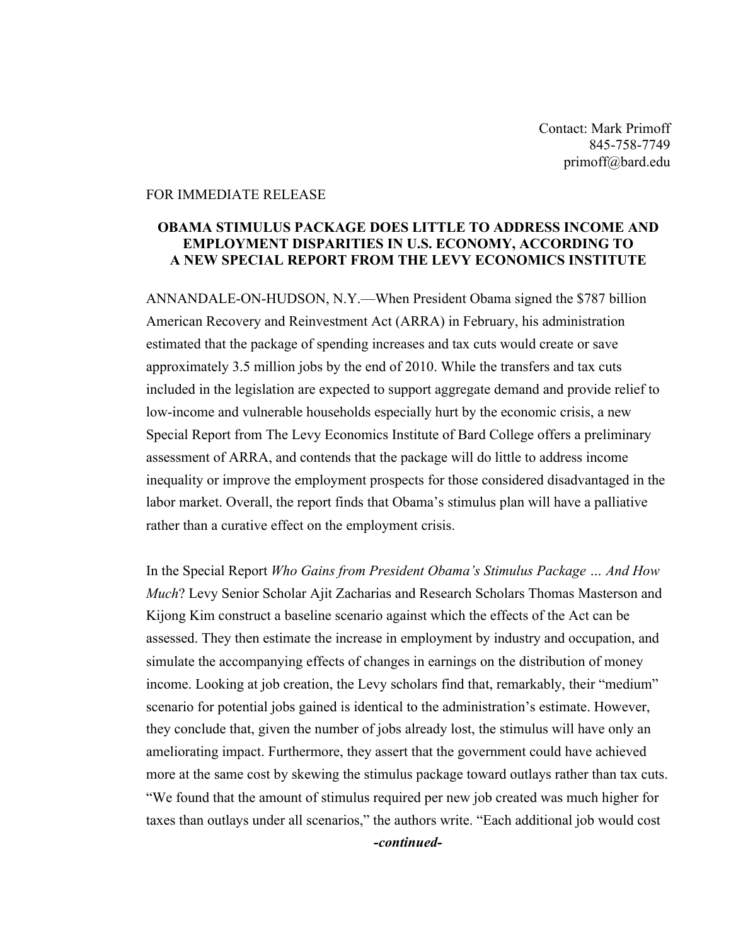Contact: Mark Primoff 845-758-7749 primoff@bard.edu

## FOR IMMEDIATE RELEASE

## **OBAMA STIMULUS PACKAGE DOES LITTLE TO ADDRESS INCOME AND EMPLOYMENT DISPARITIES IN U.S. ECONOMY, ACCORDING TO A NEW SPECIAL REPORT FROM THE LEVY ECONOMICS INSTITUTE**

ANNANDALE-ON-HUDSON, N.Y.—When President Obama signed the \$787 billion American Recovery and Reinvestment Act (ARRA) in February, his administration estimated that the package of spending increases and tax cuts would create or save approximately 3.5 million jobs by the end of 2010. While the transfers and tax cuts included in the legislation are expected to support aggregate demand and provide relief to low-income and vulnerable households especially hurt by the economic crisis, a new Special Report from The Levy Economics Institute of Bard College offers a preliminary assessment of ARRA, and contends that the package will do little to address income inequality or improve the employment prospects for those considered disadvantaged in the labor market. Overall, the report finds that Obama's stimulus plan will have a palliative rather than a curative effect on the employment crisis.

In the Special Report *Who Gains from President Obama's Stimulus Package … And How Much*? Levy Senior Scholar Ajit Zacharias and Research Scholars Thomas Masterson and Kijong Kim construct a baseline scenario against which the effects of the Act can be assessed. They then estimate the increase in employment by industry and occupation, and simulate the accompanying effects of changes in earnings on the distribution of money income. Looking at job creation, the Levy scholars find that, remarkably, their "medium" scenario for potential jobs gained is identical to the administration's estimate. However, they conclude that, given the number of jobs already lost, the stimulus will have only an ameliorating impact. Furthermore, they assert that the government could have achieved more at the same cost by skewing the stimulus package toward outlays rather than tax cuts. "We found that the amount of stimulus required per new job created was much higher for taxes than outlays under all scenarios," the authors write. "Each additional job would cost *-continued-*